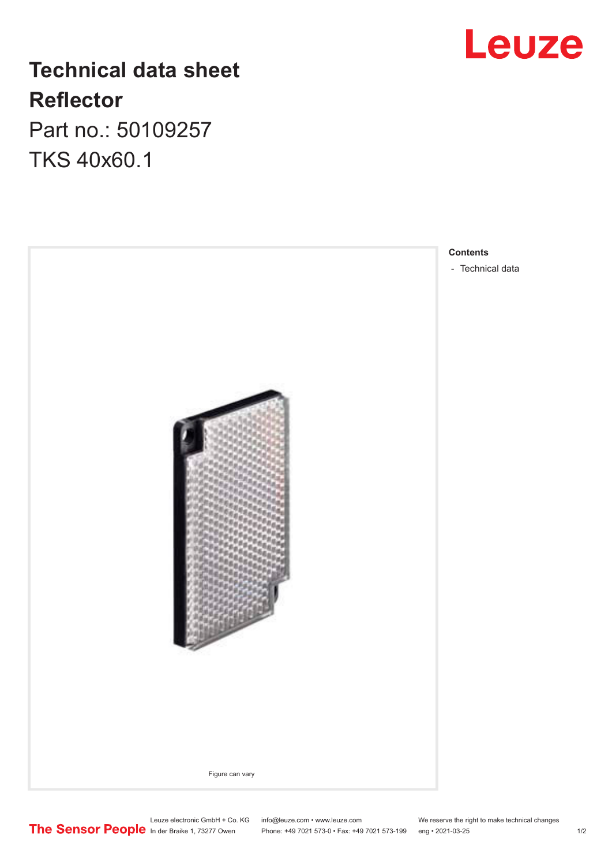## **Leuze**

### **Technical data sheet Reflector**

Part no.: 50109257 TKS 40x60.1



Leuze electronic GmbH + Co. KG info@leuze.com • www.leuze.com We reserve the right to make technical changes In der Braike 1, 73277 Owen Phone: +49 7021 573-0 • Fax: +49 7021 573-199 eng • 2021-03-25 1 /2